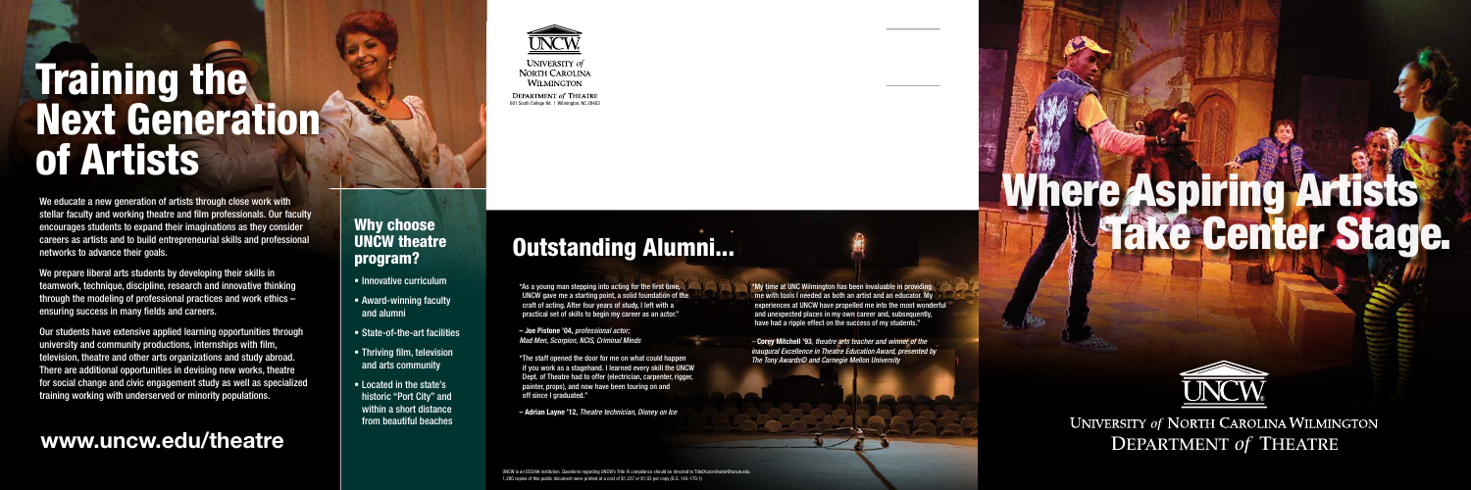We educate a new generation of artists through close work with stellar faculty and working theatre and film professionals. Our faculty encourages students to expand their imaginations as they consider careers as artists and to build entrepreneurial skills and professional networks to advance their goals.

We prepare liberal arts students by developing their skills in teamwork, technique, discipline, research and innovative thinking through the modeling of professional practices and work ethics – ensuring success in many fields and careers.

> "The staff opened the door for me on what could happen if you work as a stagehand. I learned every skill the UNCW Dept. of Theatre had to offer (electrician, carpenter, rigger painter, props), and now have been touring on and off since I graduated."

Our students have extensive applied learning opportunities through university and community productions, internships with film, television, theatre and other arts organizations and study abroad. There are additional opportunities in devising new works, theatre for social change and civic engagement study as well as specialized training working with underserved or minority populations.

**DEPARTMENT of THEATRE** 601 South College Rd. | Wilmington, NC 28403

# **Training the.** Next Generation of Artists

"As a young man stepping into acting for the first time, UNCW gave me a starting point, a solid foundation of the craft of acting. After four years of study, I left with a practical set of skills to begin my career as an actor."

- **E** Innovative curriculum
- Award-winning faculty and alumni
- State-of-the-art facilities
- **Finding film, television** and arts community
- **Example 1** Located in the state's historic "Port City" and within a short distance from beautiful beaches

# Where Aspiring Artists Outstanding Alumni... The Center Stage.



UNIVERSITY of **NORTH CAROLINA WILMINGTON** 

– Joe Pistone '04, *professional actor; Mad Men, Scorpion, NCIS, Criminal Minds*

– Adrian Layne '12, *Theatre technician, Disney on Ice*

UNCW is an EEO/AA institution. Questions regarding UNCW's Title IX compliance should be directed to TitleIXcoordinator@uncw.edu. 1,200 copies of this public document were printed at a cost of \$1,237 or \$1.03 per copy (G.S. 143-170.1)

### Why choose UNCW theatre program?

"My time at UNC Wilmington has been invaluable in providing me with tools I needed as both an artist and an educator. My experiences at UNCW have propelled me into the most wonderful and unexpected places in my own career and, subsequently, have had a ripple effect on the success of my students."

*–* Corey Mitchell '93*, theatre arts teacher and winner of the inaugural Excellence in Theatre Education Award, presented by The Tony Awards© and Carnegie Mellon University*





**UNIVERSITY of NORTH CAROLINA WILMINGTON** www.uncw.edu/theatre **DEPARTMENT** of THEATRE